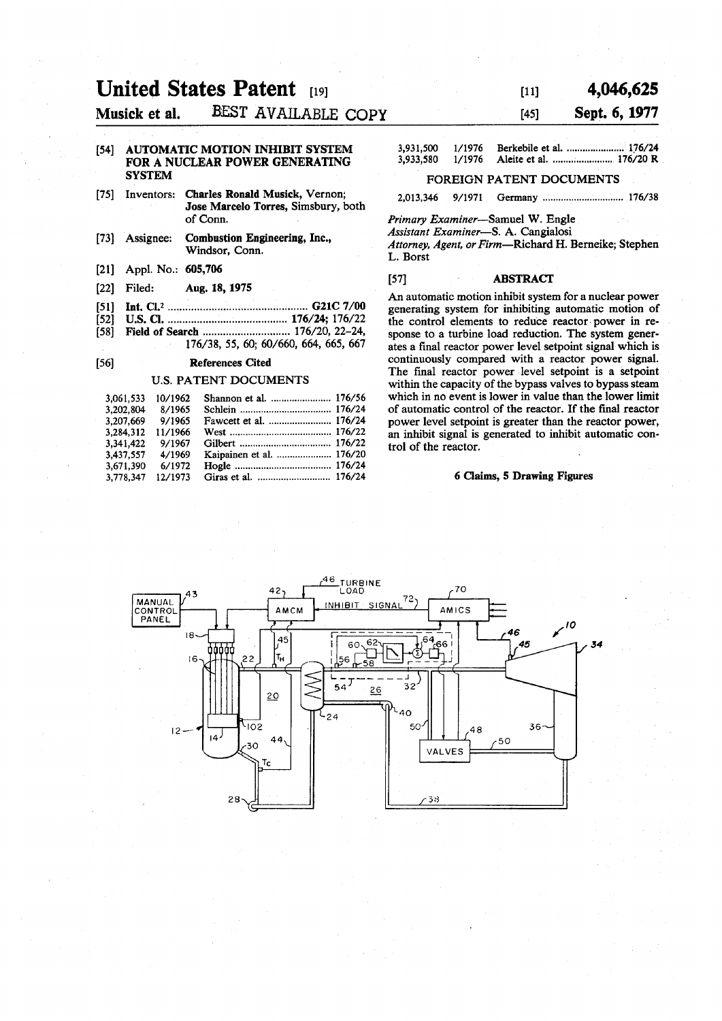# **United States Patent 191**

**Musick et al. BEST AVAILABLE COPY** 

### **[54] AUTOMATIC MOTION INHIBIT SYSTEM FOR A NUCLEAR POWER GENERATING SYSTEM**

- **[75] Inventors: Charles Ronald Musick, Vernon; Jose Marcelo Torres, Simsbury, both of Conn.**
- **[73] Assignee: Combustion Engineering, Inc., Windsor, Conn.**
- **[21] Appl. No.: 605,706**
- **[22] Filed: Aug. 18,1975**
- **[51] Int. Q. <sup>2</sup> G21C7/00**
- **[52] U.S. CI 176/24; 176/22** 
	- Field of Search ................................ 176/20, 22-24, **176/38, 55, 60; 60/660, 664, 665, 667**

# **[56] References Cited**

#### **U.S. PATENT DOCUMENTS**

| 3.061.533 | 10/1962 | Shannon et al.  176/56   |  |
|-----------|---------|--------------------------|--|
| 3.202.804 | 8/1965  |                          |  |
| 3.207.669 | 9/1965  |                          |  |
| 3.284.312 | 11/1966 |                          |  |
| 3.341.422 | 9/1967  |                          |  |
| 3.437.557 | 4/1969  | Kaipainen et al.  176/20 |  |
| 3.671.390 | 6/1972  |                          |  |
| 3,778,347 | 12/1973 |                          |  |

# $[11]$  4,046,625

# **[45] Sept. 6,1977**

| 3,931,500 | 1/1976 | Berkebile et al.  176/24 |
|-----------|--------|--------------------------|
| 3,933,580 | 1/1976 |                          |

### **FOREIGN PATENT DOCUMENTS**

**2,013,346 9/1971 Germany 176/38** 

*Primary Examiner*—Samuel W. Engle

*Assistant Examiner***—S. A. Cangialosi** 

*Attorney, Agent, or Firm***—Richard H. Berneike; Stephen L. Borst** 

# **[57] ABSTRACT**

**An automatic motion inhibit system for a nuclear power generating system for inhibiting automatic motion of the control elements to reduce reactor power in response to a turbine load reduction. The system generates a final reactor power level setpoint signal which is continuously compared with a reactor power signal. The final reactor power level setpoint is a setpoint within the capacity of the bypass valves to bypass steam which in no event is lower in value than the lower limit of automatic control of the reactor. If the final reactor power level setpoint is greater than the reactor power, an inhibit signal is generated to inhibit automatic control of the reactor.** 

#### **6 Claims, 5 Drawing Figures**

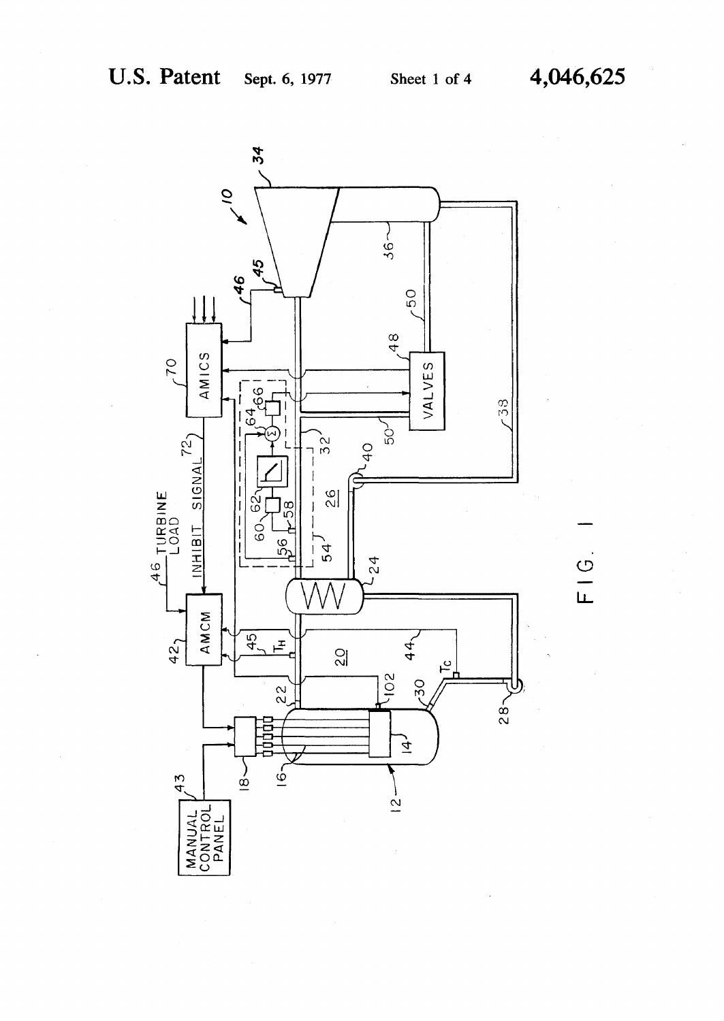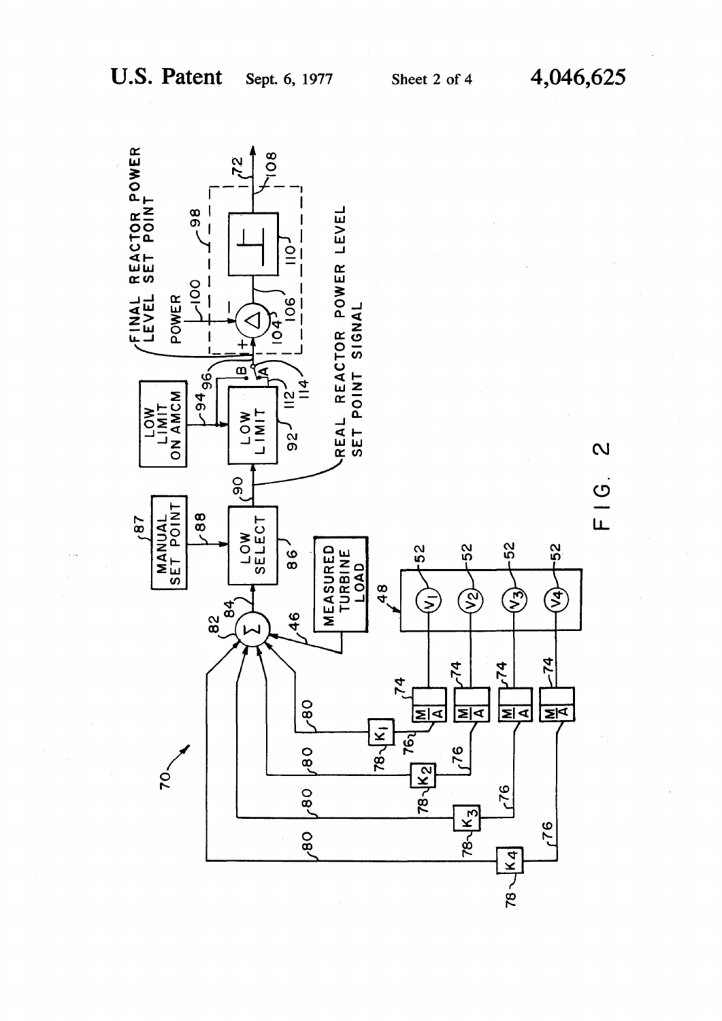

**U.S. Patent** 

4,046,625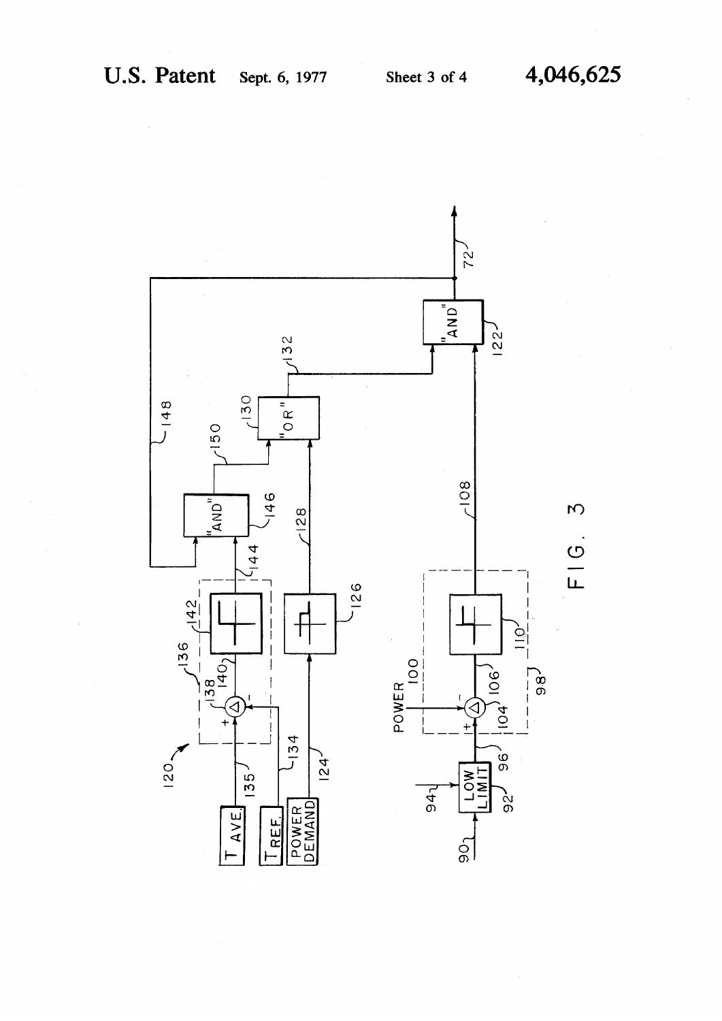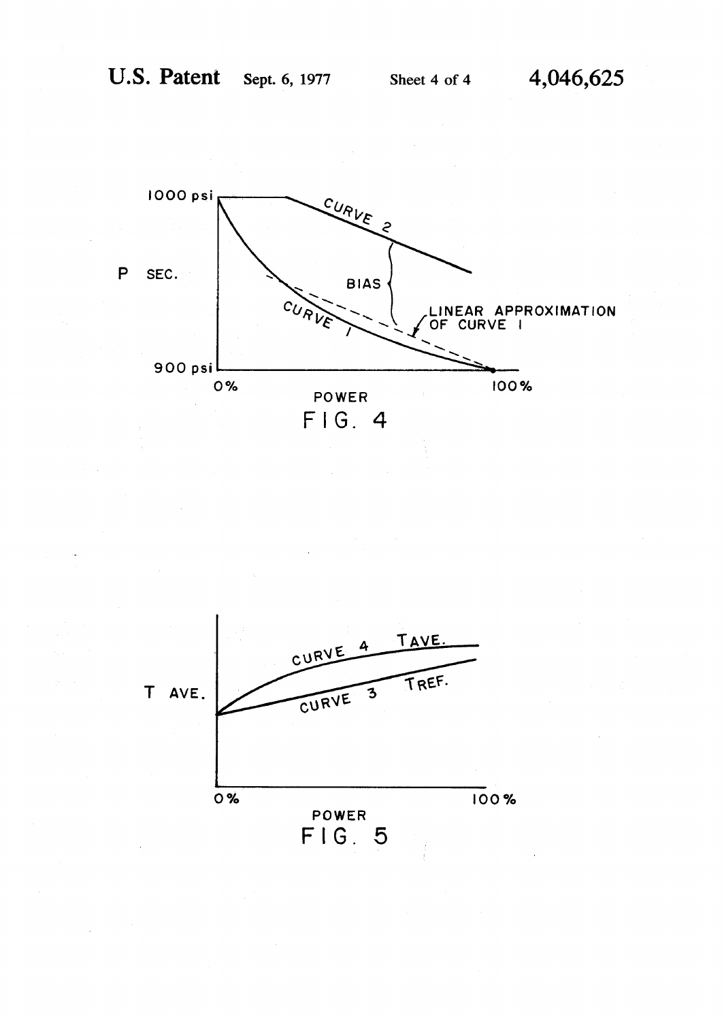

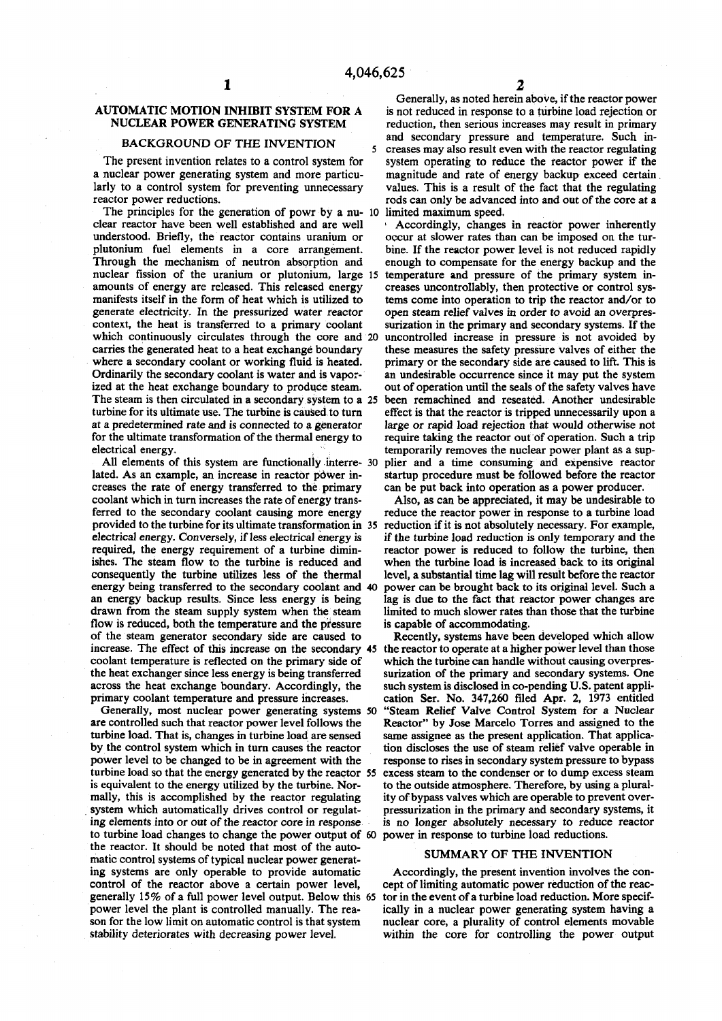# **AUTOMATIC MOTION INHIBIT SYSTEM FOR A NUCLEAR POWER GENERATING SYSTEM**

# **BACKGROUND OF THE INVENTION<sup>5</sup>**

**The present invention relates to a control system for a nuclear power generating system and more particularly to a control system for preventing unnecessary reactor power reductions.** 

**The principles for the generation of powr by a nu- 10 limited maximum speed. clear reactor have been well established and are well understood. Briefly, the reactor contains uranium or plutonium fuel elements in a core arrangement. Through the mechanism of neutron absorption and nuclear fission of the uranium or plutonium, large 15 amounts of energy are released. This released energy manifests itself in the form of heat which is utilized to generate electricity. In the pressurized water reactor context, the heat is transferred to a primary coolant which continuously circulates through the core and 20 carries the generated heat to a heat exchange boundary where a secondary coolant or working fluid is heated. Ordinarily the secondary coolant is water and is vaporized at the heat exchange boundary to produce steam. The steam is then circulated in a secondary system to a 25 turbine for its ultimate use. The turbine is caused to turn at a predetermined rate and is connected to a generator for the ultimate transformation of the thermal energy to electrical energy.** 

**All elements of this system are functionally interre- 30**  lated. As an example, an increase in reactor power in**creases the rate of energy transferred to the primary coolant which in turn increases the rate of energy transferred to the secondary coolant causing more energy provided to the turbine for its ultimate transformation in 35 electrical energy. Conversely, if less electrical energy is required, the energy requirement of a turbine diminishes. The steam flow to the turbine is reduced and consequently the turbine utilizes less of the thermal energy being transferred to the secondary coolant and 40 an energy backup results. Since less energy is being drawn from the steam supply system when the steam flow is reduced, both the temperature and the pressure of the steam generator secondary side are caused to increase. The effect of this increase on the secondary 45 coolant temperature is reflected on the primary side of the heat exchanger since less energy is being transferred across the heat exchange boundary. Accordingly, the primary coolant temperature and pressure increases.** 

**Generally, most nuclear power generating systems 50 are controlled such that reactor power level follows the turbine load. That is, changes in turbine load are sensed by the control system which in turn causes the reactor power level to be changed to be in agreement with the turbine load so that the energy generated by the reactor 55 is equivalent to the energy utilized by the turbine. Normally, this is accomplished by the reactor regulating system which automatically drives control or regulating elements into or out of the reactor core in response to turbine load changes to change the power output of 60 power in response to turbine load reductions. the reactor. It should be noted that most of the automatic control systems of typical nuclear power generating systems are only operable to provide automatic control of the reactor above a certain power level, generally 15% of a full power level output. Below this 65 power level the plant is controlled manually. The reason for the low limit on automatic control is that system stability deteriorates with decreasing power level.** 

**Generally, as noted herein above, if the reactor power is not reduced in response to a turbine load rejection or reduction, then serious increases may result in primary and secondary pressure and temperature. Such increases may also result even with the reactor regulating system operating to reduce the reactor power if the magnitude and rate of energy backup exceed certain values. This is a result of the fact that the regulating rods can only be advanced into and out of the core at a** 

**' Accordingly, changes in reactor power inherently occur at slower rates than can be imposed on the turbine. If the reactor power level is not reduced rapidly enough to compensate for the energy backup and the temperature and pressure of the primary system increases uncontrollably, then protective or control systems come into operation to trip the reactor and/or to open steam relief valves in order to avoid an overpressurization in the primary and secondary systems. If the uncontrolled increase in pressure is not avoided by these measures the safety pressure valves of either the primary or the secondary side are caused to lift. This is an undesirable occurrence since it may put the system out of operation until the seals of the safety valves have been remachined and reseated. Another undesirable effect is that the reactor is tripped unnecessarily upon a large or rapid load rejection that would otherwise not**  require taking the reactor out of operation. Such a trip **temporarily removes the nuclear power plant as a supplier and a time consuming and expensive reactor startup procedure must be followed before the reactor can be put back into operation as a power producer.** 

**Also, as can be appreciated, it may be undesirable to reduce the reactor power in response to a turbine load reduction if it is not absolutely necessary. For example, if the turbine load reduction is only temporary and the reactor power is reduced to follow the turbine, then when the turbine load is increased back to its original level, a substantial time lag will result before the reactor power can be brought back to its original level. Such a lag is due to the fact that reactor power changes are limited to much slower rates than those that the turbine is capable of accommodating.** 

**Recently, systems have been developed which allow the reactor to operate at a higher power level than those which the turbine can handle without causing overpressurization of the primary and secondary systems. One such system is disclosed in co-pending U.S. patent application Ser. No. 347,260 filed Apr. 2, 1973 entitled "Steam Relief Valve Control System for a Nuclear Reactor" by Jose Marcelo Torres and assigned to the same assignee as the present application. That application discloses the use of steam relief valve operable in response to rises in secondary system pressure to bypass excess steam to the condenser or to dump excess steam to the outside atmosphere. Therefore, by using a plurality of bypass valves which are operable to prevent overpressurization in the primary and secondary systems, it is no longer absolutely necessary to reduce reactor** 

#### **SUMMARY OF THE INVENTION**

**Accordingly, the present invention involves the concept of limiting automatic power reduction of the reactor in the event of a turbine load reduction. More specifically in a nuclear power generating system having a nuclear core, a plurality of control elements movable within the core for controlling the power output**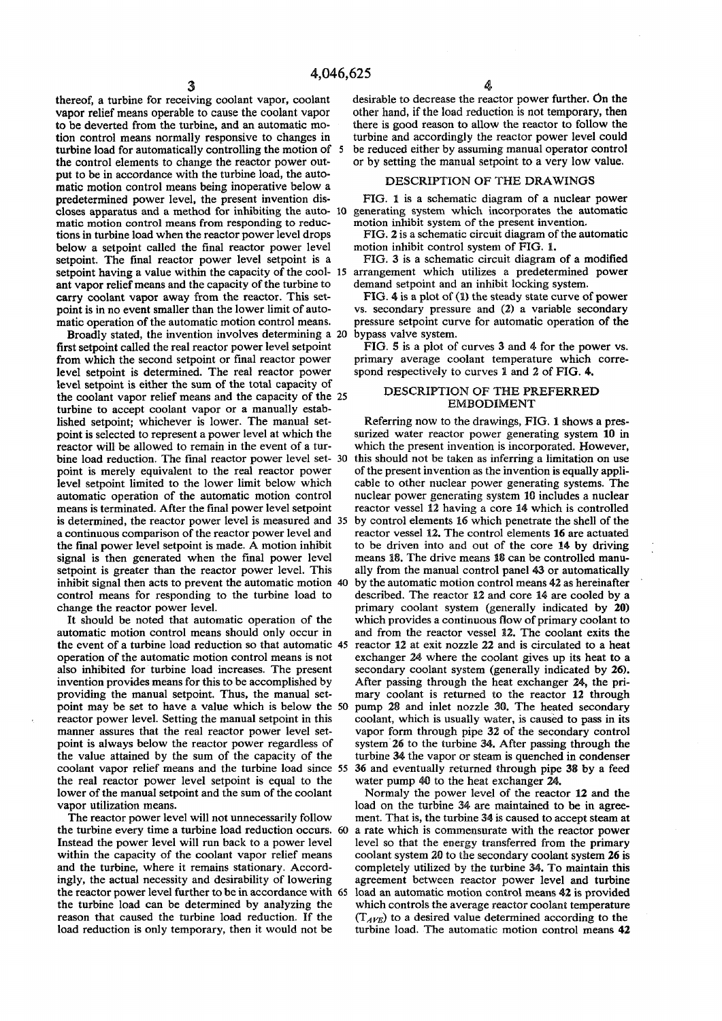**thereof, a turbine for receiving coolant vapor, coolant vapor relief means operable to cause the coolant vapor to be deverted from the turbine, and an automatic motion control means normally responsive to changes in turbine load for automatically controlling the motion of 5 the control elements to change the reactor power output to be in accordance with the turbine load, the automatic motion control means being inoperative below a predetermined power level, the present invention discloses apparatus and a method for inhibiting the auto- 10 matic motion control means from responding to reductions in turbine load when the reactor power level drops below a setpoint called the final reactor power level setpoint. The final reactor power level setpoint is a setpoint having a value within the capacity of the cool- 15 ant vapor relief means and the capacity of the turbine to carry coolant vapor away from the reactor. This setpoint is in no event smaller than the lower limit of automatic operation of the automatic motion control means.** 

Broadly stated, the invention involves determining a 20 first setpoint called the real reactor power level setpoint from which the second setpoint or final reactor power level setpoint is determined. The real reactor power level setpoint is either the sum of the total capacity of the coolant vapor relief means and the capacity of the **25**  turbine to accept coolant vapor or a manually established setpoint; whichever is lower. The manual setpoint is selected to represent a power level at which the reactor will be allowed to remain in the event of a turbine load reduction. The final reactor power level set- **30**  point is merely equivalent to the real reactor power level setpoint limited to the lower limit below which automatic operation of the automatic motion control means is terminated. After the final power level setpoint is determined, the reactor power level is measured and **35**  a continuous comparison of the reactor power level and the final power level setpoint is made. A motion inhibit signal is then generated when the final power level setpoint is greater than the reactor power level. This inhibit signal then acts to prevent the automatic motion **40**  control means for responding to the turbine load to change the reactor power level.

**It should be noted that automatic operation of the automatic motion control means should only occur in the event of a turbine load reduction so that automatic 45 operation of the automatic motion control means is not also inhibited for turbine load increases. The present invention provides means for this to be accomplished by providing the manual setpoint. Thus, the manual setpoint may be set to have a value which is below the 50 reactor power level. Setting the manual setpoint in this manner assures that the real reactor power level setpoint is always below the reactor power regardless of the value attained by the sum of the capacity of the coolant vapor relief means and the turbine load since 55 the real reactor power level setpoint is equal to the lower of the manual setpoint and the sum of the coolant vapor utilization means.** 

The reactor power level will not unnecessarily follow the turbine every time a turbine load reduction occurs. 60 Instead the power level will run back to a power level within the capacity of the coolant vapor relief means and the turbine, where it remains stationary. Accordingly, the actual necessity and desirability of lowering the reactor power level further to be in accordance with **65**  the turbine load can be determined by analyzing the reason that caused the turbine load reduction. If the load reduction is only temporary, then it would not be

desirable to decrease the reactor power further. On the other hand, if the load reduction is not temporary, then there is good reason to allow the reactor to follow the turbine and accordingly the reactor power level could be reduced either by assuming manual operator control or by setting the manual setpoint to a very low value.

## DESCRIPTION OF THE DRAWINGS

FIG. 1 is a schematic diagram of a nuclear power generating system which incorporates the automatic motion inhibit system of the present invention.

FIG. 2 is a schematic circuit diagram of the automatic motion inhibit control system of FIG. 1.

FIG. 3 is a schematic circuit diagram of a modified arrangement which utilizes a predetermined power demand setpoint and an inhibit locking system.

FIG. 4 is a plot of (1) the steady state curve of power vs. secondary pressure and (2) a variable secondary pressure setpoint curve for automatic operation of the bypass vaive system.

FIG. § is a plot of curves 3 and 4 for the power vs. primary average coolant temperature which correspond respectively to curves 1 and 2 of FIG. 4.

## DESCRIPTION OF THE PREFERRED EMBODIMENT

Referring now to the drawings, FIG. 1 shows a pressurized water reactor power generating system 10 in which the present invention is incorporated. However, this should not be taken as inferring a limitation on use of the present invention as the invention is equally applicable to other nuclear power generating systems. The nuclear power generating system 10 includes a nuclear reactor vessel 12 having a core 14 which is controlled by control elements 16 which penetrate the shell of the reactor vessel 12. The control elements 16 are actuated to be driven into and out of the core 14 by driving means 18. The drive means 18 can be controlled manually from the manual control panel 43 or automatically by the automatic motion control means 42 as hereinafter described. The reactor 12 and core 14 are cooled by a primary coolant system (generally indicated by 20) which provides a continuous flow of primary coolant to and from the reactor vessel 12. The coolant exits **the**  reactor 12 at exit nozzle 22 and is circulated to a heat exchanger 24 where the coolant gives up its heat to a secondary coolant system (generally indicated by 26). After passing through the heat exchanger 24, the primary coolant is returned to the reactor 12 through pump 28 and inlet nozzle 30. The heated secondary coolant, which is usually water, is caused to pass in its vapor form through pipe 32 of the secondary control system 26 to the turbine 34. After passing through **the**  turbine 34 the vapor or steam is quenched in condenser 36 and eventually returned through pipe 38 by a feed water pump 40 to the heat exchanger 24.

Normaly the power level of the reactor 12 and the load on the turbine 34 are maintained to be in agreement. That is, the turbine 34 is caused to accept steam at a rate which is commensurate with the reactor power level so that the energy transferred from the primary coolant system 20 to the secondary coolant system 26 is completely utilized by the turbine 34. To maintain this agreement between reactor power level and turbine load an automatic motion control means 42 is provided which controls the average reactor coolant temperature (T*ave*) to a desired value determined according to the turbine load. The automatic motion control means 42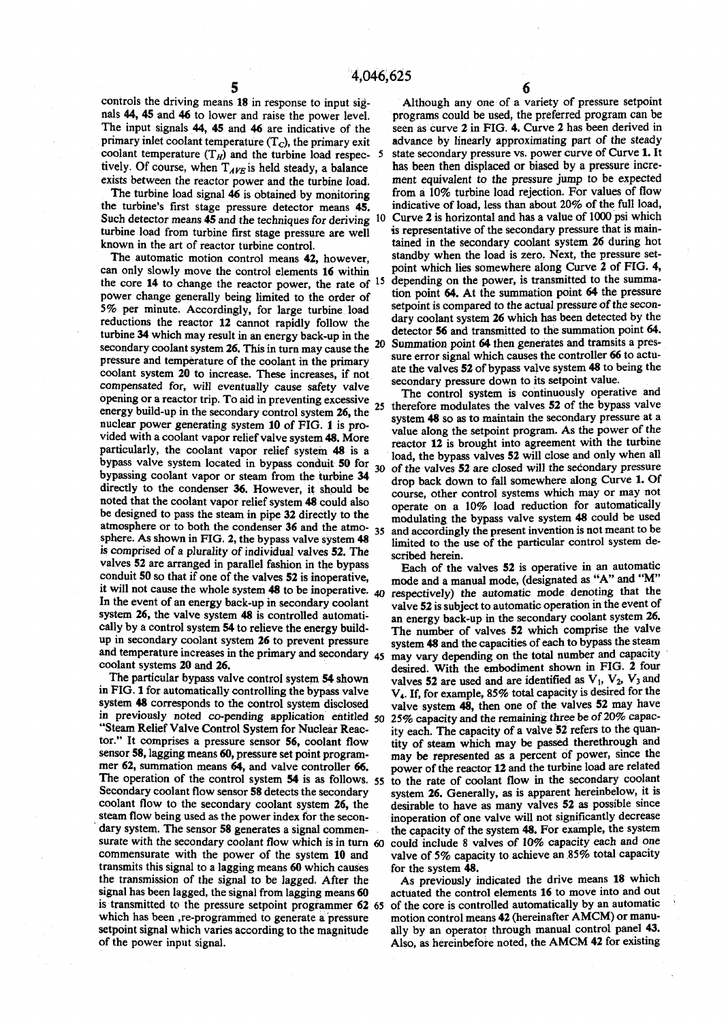**controls the driving means 18 in response to input signals 44, 45 and 46 to lower and raise the power level. The input signals 44, 45 and 46 are indicative of the primary inlet coolant temperature (Tc), the primary exit**  coolant temperature  $(T_H)$  and the turbine load respec- 5 tively. Of course, when  $T_{AVE}$  is held steady, a balance **exists between the reactor power and the turbine load.** 

**The turbine load signal 46 is obtained by monitoring the turbine's first stage pressure detector means 45.**  Such detector means 45 and the techniques for deriving 10 **turbine load from turbine first stage pressure are well known in the art of reactor turbine control.** 

**The automatic motion control means 42, however, can only slowly move the control elements 16 within 15 the core 14 to change the reactor power, the rate of power change generally being limited to the order of 5% per minute. Accordingly, for large turbine load reductions the reactor 12 cannot rapidly follow the turbine 34 which may result in an energy back-up in the secondary coolant system 26. This in turn may cause the pressure and temperature of the coolant in the primary coolant system 20 to increase. These increases, if not compensated for, will eventually cause safety valve opening or a reactor trip. To aid in preventing excessive**  25 **energy build-up in the secondary control system 26, the nuclear power generating system 10 of FIG. 1 is provided with a coolant vapor relief valve system 48. More particularly, the coolant vapor relief system 48 is a bypass valve system located in bypass conduit 50 for**  $30$ **bypassing coolant vapor or steam from the turbine 34 directly to the condenser 36. However, it should be noted that the coolant vapor relief system 48 could also be designed to pass the steam in pipe 32 directly to the atmosphere or to both the condenser 36 and the atmo-<sup>3</sup> <sup>5</sup> sphere. As shown in FIG. 2, the bypass valve system 48 is comprised of a plurality of individual valves 52. The v** comprised of a plurality of mulviqual valves 32. The valves of the arranged in parallel rashfull in the bypass **CONGULE SO SO THAT H OHE OF THE VALUES 32 IS INOPERATIVE.** In the event of an energy back-up in second **back-up** in secondary conduction  $\mathbf{r}$ In the event of an energy back-up in secondary coolant system 26, the valve system 48 is controlled automatically by a control system 54 to relieve the energy buildup in secondary coolant system 26 to prevent pressure and temperature increases in the primary and secondary 45 coolant systems 20 and 26.

**The particular bypass valve control system 54 shown in FIG. 1 for automatically controlling the bypass valve system 48 corresponds to the control system disclosed in previously noted co-pending application entitled** 50 **"Steam Relief Valve Control System for Nuclear Reactor." It comprises a pressure sensor 56, coolant flow sensor 58, lagging means 60, pressure set point programmer 62, summation means 64, and valve controller 66. The operation of the control system 54 is as follows.** 55 **Secondary coolant flow sensor 58 detects the secondary coolant flow to the secondary coolant system 26, the steam flow being used as the power index for the secondary system. The sensor 58 generates a signal commensurate with the secondary coolant flow which is in turn 60 commensurate with the power of the system 10 and transmits this signal to a lagging means 60 which causes the transmission of the signal to be lagged. After the signal has been lagged, the signal from lagging means 60 is transmitted to the pressure setpoint programmer 62 65 which has been , re-programmed to generate a pressure setpoint signal which varies according to the magnitude of the power input signal.** 

 **2 0 Summation point 64 then generates and tramsits a pres-Although any one of a variety of pressure setpoint programs could be used, the preferred program can be seen as curve 2 in FIG. 4. Curve 2 has been derived in advance by linearly approximating part of the steady state secondary pressure vs. power curve of Curve 1. It has been then displaced or biased by a pressure increment equivalent to the pressure jump to be expected from a 10% turbine load rejection. For values of flow indicative of load, less than about 20% of the full load, Curve 2 is horizontal and has a value of 1000 psi which is representative of the secondary pressure that is maintained in the secondary coolant system 26 during hot standby when the load is zero. Next, the pressure setpoint which lies somewhere along Curve 2 of FIG. 4, depending on the power, is transmitted to the summation point 64. At the summation point 64 the pressure**  setpoint is compared to the actual pressure of the secon**dary coolant system 26 which has been detected by the detector 56 and transmitted to the summation point 64. sure error signal which causes the controller 66 to actuate the valves 52 of bypass valve system 48 to being the secondary pressure down to its setpoint value.** 

**The control system is continuously operative and therefore modulates the valves 52 of the bypass valve system 48 so as to maintain the secondary pressure at a value along the setpoint program. As the power of the reactor 12 is brought into agreement with the turbine load, the bypass valves 52 will close and only when all of the valves 52 are closed will the secondary pressure drop back down to fall somewhere along Curve 1. Of course, other control systems which may or may not operate on a 10% load reduction for automatically modulating the bypass valve system 48 could be used and accordingly the present invention is not meant to be limited to the use of the particular control system described herein.** 

**Each of the valves 52 is operative in an automatic mode and a manual mode, (designated as "A" and "M" respectively) the automatic mode denoting that the valve 52 is subject to automatic operation in the event of an energy back-up in the secondary coolant system 26. The number of valves 52 which comprise the valve system 48 and the capacities of each to bypass the steam may vary depending on the total number and capacity desired. With the embodiment shown in FIG. 2 four**  valves 52 are used and are identified as  $V_1$ ,  $V_2$ ,  $V_3$  and **V4. If, for example, 85% total capacity is desired for the valve system 48, then one of the valves 52 may have 25% capacity and the remaining three be of 20% capacity each. The capacity of a valve 52 refers to the quantity of steam which may be passed therethrough and may be represented as a percent of power, since the**  power of the reactor 12 and the turbine load are related **to the rate of coolant flow in the secondary coolant system 26. Generally, as is apparent hereinbelow, it is desirable to have as many valves 52 as possible since inoperation of one valve will not significantly decrease the capacity of the system 48. For example, the system could include 8 valves of 10% capacity each and one valve of 5% capacity to achieve an 85% total capacity for the system 48.** 

**As previously indicated the drive means 18 which actuated the control elements 16 to move into and out of the core is controlled automatically by an automatic motion control means 42 (hereinafter AMCM) or manually by an operator through manual control panel 43. Also, as hereinbefore noted, the AMCM 42 for existing**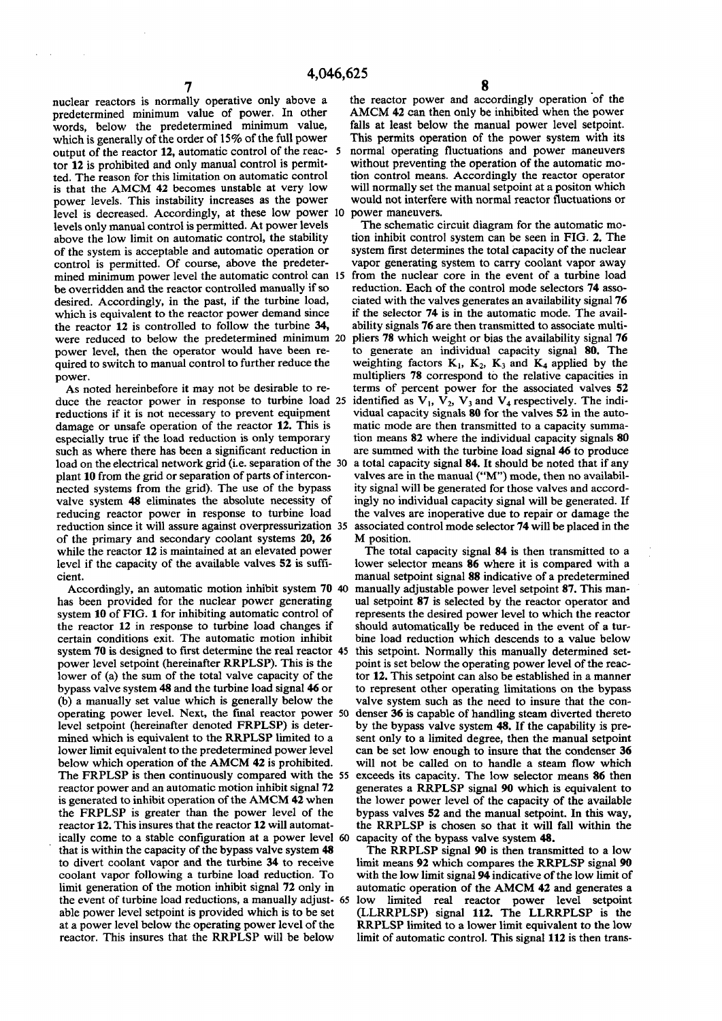level is decreased. Accordingly, at these low power 10 **15 mined minimum power level the automatic control can from the nuclear core in the event of a turbine load**  were reduced to below the predetermined minimum 20 **nuclear reactors is normally operative only above a predetermined minimum value of power. In other words, below the predetermined minimum value,**  which is generally of the order of 15% of the full power **output of the reactor 12, automatic control of the reactor 12 is prohibited and only manual control is permitted. The reason for this limitation on automatic control is that the AMCM 42 becomes unstable at very low power levels. This instability increases as the power levels only manual control is permitted. At power levels above the low limit on automatic control, the stability of the system is acceptable and automatic operation or control is permitted. Of course, above the predeterbe overridden and the reactor controlled manually if so desired. Accordingly, in the past, if the turbine load, which is equivalent to the reactor power demand since the reactor 12 is controlled to follow the turbine 34, power level, then the operator would have been required to switch to manual control to further reduce the power.** 

**25 duce the reactor power in response to turbine load As noted hereinbefore it may not be desirable to rereductions if it is not necessary to prevent equipment damage or unsafe operation of the reactor 12, This is especially true if the load reduction is only temporary such as where there has been a significant reduction in**  load on the electrical network grid (i.e. separation of the 30 **plant 10 from the grid or separation of parts of interconnected systems from the grid). The use of the bypass valve system 48 eliminates the absolute necessity of reducing reactor power in response to turbine load reduction since it will assure against overpressurization 35 of the primary and secondary coolant systems 20, 26 while the reactor 12 is maintained at an elevated power level if the capacity of the available valves 52 is sufficient.** 

**Accordingly, an automatic motion inhibit system 70 40 has been provided for the nuclear power generating system 10 of FIG. 1 for inhibiting automatic control of the reactor 12 in response to turbine load changes if certain conditions exit. The automatic motion inhibit system 70 is designed to first determine the real reactor 45 power level setpoint (hereinafter RRPLSP). This is the lower of (a) the sum of the total valve capacity of the bypass valve system 48 and the turbine load signal 46 or (b) a manually set value which is generally below the operating power level. Next, the final reactor power 50 level setpoint (hereinafter denoted FRPLSP) is determined which is equivalent to the RRPLSP limited to a lower limit equivalent to the predetermined power level below which operation of the AMCM 42 is prohibited. The FRPLSP is then continuously compared with the 55 reactor power and an automatic motion inhibit signal 72 is generated to inhibit operation of the AMCM 42 when the FRPLSP is greater than the power level of the reactor 12. This insures that the reactor 12 will automatically come to a stable configuration at a power level 60 that is within the capacity of the bypass valve system 48 to divert coolant vapor and the turbine 34 to receive coolant vapor following a turbine load reduction. To limit generation of the motion inhibit signal 72 only in the event of turbine load reductions, a manually adjust-65 able power level setpoint is provided which is to be set at a power level below the operating power level of the reactor. This insures that the RRPLSP will be below** 

**the reactor power and accordingly operation of the AMCM 42 can then only be inhibited when the power falls at least below the manual power level setpoint. This permits operation of the power system with its normal operating fluctuations and power maneuvers without preventing the operation of the automatic motion control means. Accordingly the reactor operator will normally set the manual setpoint at a positon which would not interfere with normal reactor fluctuations or power maneuvers.** 

**The schematic circuit diagram for the automatic motion inhibit control system can be seen in FIG. 2. The system first determines the total capacity of the nuclear vapor generating system to carry coolant vapor away reduction. Each of the control mode selectors 74 associated with the valves generates an availability signal 76 if the selector 74 is in the automatic mode. The availability signals 76 are then transmitted to associate multipliers 78 which weight or bias the availability signal 76 to generate an individual capacity signal 80. The**  weighting factors  $K_1$ ,  $K_2$ ,  $K_3$  and  $K_4$  applied by the **multipliers 78 correspond to the relative capacities in terms of percent power for the associated valves 52**  identified as  $V_1$ ,  $\overline{V_2}$ ,  $V_3$  and  $V_4$  respectively. The indi**vidual capacity signals 80 for the valves 52 in the automatic mode are then transmitted to a capacity summation means 82 where the individual capacity signals 80 are summed with the turbine load signal 46 to produce a total capacity signal 84. It should be noted that if any valves are in the manual ("M") mode, then no availability signal will be generated for those valves and accordingly no individual capacity signal will be generated. If the valves are inoperative due to repair or damage the associated control mode selector 74 will be placed in the M position.** 

**The total capacity signal 84 is then transmitted to a lower selector means 86 where it is compared with a manual setpoint signal 88 indicative of a predetermined manually adjustable power level setpoint 87. This manual setpoint 87 is selected by the reactor operator and represents the desired power level to which the reactor should automatically be reduced in the event of a turbine load reduction which descends to a value below this setpoint. Normally this manually determined setpoint is set below the operating power level of the reactor 12. This setpoint can also be established in a manner to represent other operating limitations on the bypass valve system such as the need to insure that the condenser 36 is capable of handling steam diverted thereto by the bypass valve system 48. If the capability is present only to a limited degree, then the manual setpoint can be set low enough to insure that the condenser 36 will not be called on to handle a steam flow which exceeds its capacity. The low selector means 86 then generates a RRPLSP signal 90 which is equivalent to the lower power level of the capacity of the available bypass valves 52 and the manual setpoint. In this way, the RRPLSP is chosen so that it will fall within the capacity of the bypass valve system 48.** 

**The RRPLSP signal 90 is then transmitted to a low limit means 92 which compares the RRPLSP signal 90 with the low limit signal 94 indicative of the low limit of automatic operation of the AMCM 42 and generates a low limited real reactor power level setpoint (LLRRPLSP) signal 112. The LLRRPLSP is the RRPLSP limited to a lower limit equivalent to the low limit of automatic control. This signal 112 is then trans-**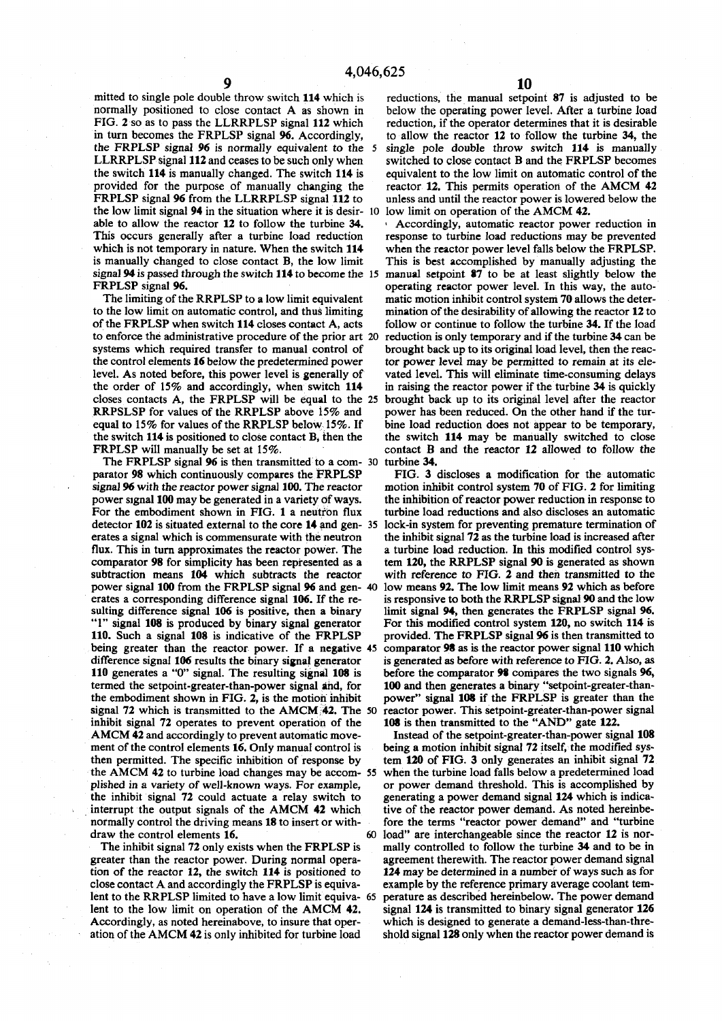mitted to single pole double throw switch 114 which is reductions, the manual setpoint 87 is adjusted to be normally positioned to close contact A as shown in below the operating power level. After a turbine load **FIG.** *2* **so as to pass the LLRRPLSP signal 112 which reduction, if the operator determines that it is desirable in turn becomes the FRPLSP signal 96. Accordingly, to allow the reactor 12 to follow the turbine 34, the the FRPLSP signal** *96* **is normally equivalent to the 5 single pole double throw switch 114 is manually**  LLRRPLSP signal 112 and ceases to be such only when switched to close contact B and the FRPLSP becomes **the switch 114 is manually changed. The switch 114 is equivalent to the low limit on automatic control ofthe provided for the purpose of manually changing the reactor 12. This permits operation of the AMCM 42 FRPLSP** signal 96 from the LLRRPLSP signal 112 to unless and until the reactor power is lowered below the **the low limit signal 94 in the situation where it is desir- 10 low limit on operation of the AMCM 42.**  which is not temporary in nature. When the switch 114 when the reactor power level falls below the FRPLSP.

**to the low limit on automatic control, and thus limiting mination of the desirability of allowing the reactor 12 to**  of the FRPLSP when switch 114 closes contact A, acts follow or continue to follow the turbine 34. If the load to enforce the administrative procedure of the prior art 20 reduction is only temporary and if the turbine 34 ca to enforce the administrative procedure of the prior art 20 **systems which required transfer to manual control of brought back up to its original load level, then the reacthe control elements 16 below the predetermined power tor power level may be permitted to remain at its elelevel. As noted before, this power level is generally of vated level. This will eliminate time-consuming delays the order of 15% and accordingly, when switch 114 in raising the reactor power if the turbine 34 is quickly equal to 15% for values of the RRPLSP below 15%. If bine load reduction does not appear to be temporary,**  the switch 114 is positioned to close contact **B**, then the **FRPLSP** will manually be set at 15%. contact B and the reactor 12 allowed to follow the

**The FRPLSP signal 96 is then transmitted to a com- 30 turbine 34. signal 96 with the reactor power signal 100. The reactor motion inhibit control system 70 of FIG. 2 for limiting power signal 100 may be generated in a variety Of ways. the inhibition of reactor power reduction in response to For the embodiment shown in FIG. 1 a neutron flux turbine load reductions and also discloses an automatic**  detector 102 is situated external to the core 14 and gen- 35 lock-in system for preventing premature termination of erates a signal which is commensurate with the neutron the inhibit signal 72 as the turbine load is increa **flux.** This in turn approximates the reactor power. The comparator 98 for simplicity has been represented as a **subtraction means 104 which subtracts the reactor with reference to FIG. 2 and then transmitted to the power signal 100 from the FRPLSP signal 96 and gen- 40 low means 92. The low limit means 92 which as before erates a corresponding difference signal 106. If the re- is responsive to both the RRPLSP signal 90 and the low sulting difference signal 106 is positive, then a binary** limit signal 94, then generates the FRPLSP signal 96. <br>
<sup>11</sup> signal 108 is produced by binary signal generator For this modified control system 120, no switch 114 **110. Such a signal 108 is indicative of the FRPLSP provided. The FRPLSP signal 96 is then transmitted to being greater than the reactor power. If a negative 45 comparator 98 as is the reactor power signal 110 which**  difference signal 106 results the binary signal generator is generated as before with reference to FIG. 2. Also, as <br>110 generates a "0" signal. The resulting signal 108 is before the comparator 98 compares the two signals **110 generates a "0" signal. The resulting signal 108 is before the comparator 98 compares the two signals 96,**  termed the setpoint-greater-than-power signal and, for **the embodiment shown in FIG.** *2,* **is the motion inhibit power" signal 108 if the FRPLSP is greater than the signal 72** which is transmitted to the AMCM 42. The 50 reactor power. This setpoint-greater-than-power signal inhibit signal 72 operates to prevent operation of the 108 is then transmitted to the "AND" gate 122. inhibit signal 72 operates to prevent operation of the AMCM 42 and accordingly to prevent automatic move-**Instead of the setpoint-greater-than-power signal 108 ment of the control elements 16. Only manual control is being a motion inhibit signal 72 itself, the modified systhen permitted. The specific inhibition of response by tem 120 of FIG. 3 only generates an inhibit signal 72 the AMCM 42 to turbine load changes may be accom- 55 when the turbine load falls below a predetermined load plished in a variety of well-known ways. For example, or power demand threshold. This is accomplished by the inhibit signal 72 could actuate a relay switch to generating a power demand signal 124 which is indica**interrupt the output signals of the AMCM 42 which tive of the reactor power demand. As noted hereinbe-<br>normally control the driving means 18 to insert or with-<br>fore the terms "reactor power demand" and "turbine normally control the driving means 18 to insert or with-

lent to the RRPLSP limited to have a low limit equiva- 65

below the operating power level. After a turbine load

**able to allow the reactor 12 to follow the turbine 34.** Accordingly, automatic reactor power reduction in This occurs generally after a turbine load reduction response to turbine load reductions may be prevented response to turbine load reductions may be prevented **is manually changed to close contact B, the low limit This is best accomplished by manually adjusting the signal 94 is passed through the switch 114 to become the 15 manual setpoint 87 to be at least slightly below the**  RPLSP signal 96.<br>The limiting of the RRPLSP to a low limit equivalent matic motion inhibit control system 70 allows the determatic motion inhibit control system 70 allows the deter**closes contacts A, the FRPLSP will be equal to the 25 brought back up to its original level after the reactor RRPSLSP for values of the RRPLSP above 15% and power has been reduced. On the other hand if the tur**power has been reduced. On the other hand if the tur-

**parator 98 which continuously compares the FRPLSP FIG. 3 discloses a modification for the automatic**  the inhibit signal 72 as the turbine load is increased after a turbine load reduction. In this modified control system 120, the RRPLSP signal 90 is generated as shown For this modified control system 120, no switch 114 is

draw the control elements 16. 60 load" are interchangeable since the reactor 12 is nor-**The inhibit signal 72 only exists when the FRPLSP is mally controlled to follow the turbine 34 and to be in greater than the reactor power. During normal opera- agreement therewith. The reactor power demand signal tion of the reactor 12, the switch 114 is positioned to 124 may be determined in a number of ways such as for close contact A and accordingly the FRPLSP is equiva- example by the reference primary average coolant tem**lent to the low limit on operation of the AMCM 42. signal 124 is transmitted to binary signal generator 126 **Accordingly, as noted hereinabove, to insure that oper- which is designed to generate a demahd-less-than-threation of the AMCM 42 is only inhibited for turbine load shold signal 128 only when the reactor power demand is**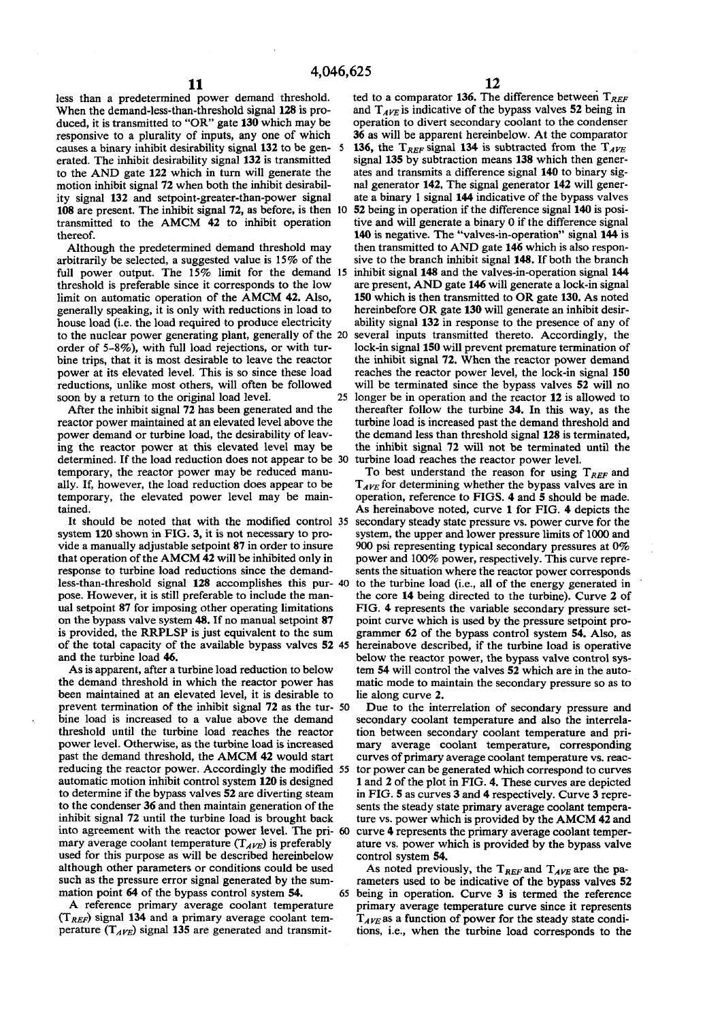less than a predetermined power demand threshold. ted to a comparator 136. The difference between  $T_{REF}$  When the demand-less-than-threshold signal 128 is pro-<br>and  $T_{AFE}$  is indicative of the bypass valves 52 being in When the demand-less-than-threshold signal 128 is pro-<br>diamond  $T_{AVE}$  is indicative of the bypass valves 52 being in<br>duced, it is transmitted to "OR" gate 130 which may be operation to divert secondary coolant to the con duced, it is transmitted to "OR" gate **130** which may be **responsive to a plurality of inputs, any one of which 36 as will be apparent hereinbelow. At the comparator causes a binary inhibit desirability signal 132 to be gen- 5 136, the**  $T_{REF}$  **signal 134 is subtracted from the** causes a binary inhibit desirability signal 132 to be gen- 5 136, the  $T_{REF}$  signal 134 is subtracted from the  $T_{AVE}$  erated. The inhibit desirability signal 132 is transmitted signal 135 by subtraction means 138 which t erated. The inhibit desirability signal 132 is transmitted **to the AN D gate 122 which in turn will generate the ates and transmits a difference signal 140 to binary sig**motion inhibit signal 72 when both the inhibit desirabil- nal generator 142. The signal generator 142 will gener**ity signal 132 and setpoint-greater-than-power signal ate a binary 1 signal 144 indicative of the bypass valves 108 are present. The inhibit signal 72, as before, is then 10 52 being in operation if the difference signal 140 is positransmitted to the AMCM 42 to inhibit operation tive and will generate a binary** 0 **if the difference signal thereof. 140 is negative. The "valves-in-operation" signal 144 is** 

**arbitrarily be selected, a suggested value is 15% of the sive to the branch inhibit signal 148. If both the branch full power output. The** 15% **limit for the demand 15 inhibit signal 148 and the valves-in-operation signal 144**  threshold is preferable since it corresponds to the low are present, AND gate 146 will generate a lock-in signal limit on automatic operation of the AMCM 42. Also, 150 which is then transmitted to OR gate 130. As noted limit on automatic operation of the AMCM 42. Also, **generally speaking, it is only with reductions in load to hereinbefore OR gate 130 will generate an inhibit desir**house load (i.e. the load required to produce electricity ability signal 132 in response to the presence of any of to the nuclear power generating plant, generally of the 20 several inputs transmitted thereto. Accordingly, to the nuclear power generating plant, generally of the 20 **order of** 5-8%), **with full load rejections, or with tur- lock-in signal 150 will prevent premature termination of bine trips, that it is most desirable to leave the reactor the inhibit signal 72. When the reactor power demand power at its elevated level. This is so since these load reaches the reactor power level, the lock-in signal 150 reductions, unlike most others, will often be followed will be terminated since the bypass valves 52 will no soon by a return to the original load level. 25 longer be in operation and the reactor 12 is allowed to** 

**power demand or turbine load, the desirability of leav- the demand less than threshold signal 128 is terminated,**  ing the reactor power at this elevated level may be the inhibit signal 72 will not be terminated until the determined. If the load reduction does not appear to be 30 turbine load reaches the reactor power level. determined. If the load reduction does not appear to be 30 **temporary, the reactor power may be reduced manu-** To best understand the reason for using  $T_{REF}$  and **ally.** If, however, the load reduction does appear to be  $T_{AVE}$  for determining whether the bypass valves are in temporary, the elevated power level may be main-<br>operation, reference to FIGS. 4 and 5 should be made.

**system 120 shown in FIG. 3, it is not necessary to pro- system, the upper and lower pressure limits of** 1000 **and vide a manually adjustable setpoint 87 in order to insure** 900 **psi representing typical secondary pressures at** 0% **that operation of the AMCM 42 will be inhibited only in power and** 100% **power, respectively. This curve repreresponse to turbine load reductions since the demand- sents the situation where the reactor power corresponds less-than-threshold signal 128 accomplishes this pur- 40 to the turbine load (i.e., all of the energy generated in pose. However, it is still preferable to include the man- the core 14 being directed to the turbine). Curve 2 of ual setpoint 87 for imposing other operating limitations FIG. 4 represents the variable secondary pressure set**on the bypass valve system **48.** If no manual setpoint 87 point curve which is used by the pressure setpoint pro**is provided, the RRPLSP is just equivalent to the sum grammer 62 of the bypass control system 54. Also, as of the total capacity of the available bypass valves 52 45 hereinabove described, if the turbine load is operative** 

**the demand threshold in which the reactor power has matic mode to maintain the secondary pressure so as to**  been maintained at an elevated level, it is desirable to lie along curve 2. **prevent termination of the inhibit signal 72 as the tur- 50 Due to the interrelation of secondary pressure and**  bine load is increased to a value above the demand secondary coolant temperature and also the interrela**threshold until the turbine load reaches the reactor tion between secondary coolant temperature and pripower level. Otherwise, as the turbine load is increased mary average coolant temperature, corresponding**  past the demand threshold, the AMCM 42 would start curves of primary average coolant temperature vs. reac**reducing the reactor power. Accordingly the modified 55 tor power can be generated which correspond to curves automatic motion inhibit control system 120 is designed 1 and 2 of the plot in FIG. 4. These curves are depicted to determine if the bypass valves 52 are diverting steam in FIG. 5 as curves 3 and 4 respectively. Curve 3 repreto the condenser 36 and then maintain generation of the sents the steady state primary average coolant tempera**inhibit signal 72 until the turbine load is brought back ture vs. power which is provided by the AMCM 42 and **into agreement with the reactor power level. The pri- 60 curve 4 represents the primary average coolant tempermary average coolant temperature**  $(T_{AVE})$  **is preferably ature vs. power which is provided by the bypass valve used for this purpose as will be described hereinbelow control system 54.**  although other parameters or conditions could be used As noted previously, the  $T_{REF}$  and  $T_{AVE}$  are the pa**such as the pressure error signal generated by the sum- rameters used to be indicative of the bypass valves 52** 

 $(T_{REF})$  signal 134 and a primary average coolant tem-  $T_{AVE}$  as a function of power for the steady state condi-

Although the predetermined demand threshold may then transmitted to AND gate 146 which is also respon-<br>bitrarily be selected, a suggested value is 15% of the sive to the branch inhibit signal 148. If both the branch After the inhibit signal 72 has been generated and the thereafter follow the turbine 34. In this way, as the reactor power maintained at an elevated level above the turbine load is increased past the demand threshold and turbine load is increased past the demand threshold and

operation, reference to FIGS. 4 and 5 should be made. **tained. As hereinabove noted, curve 1 for FIG. 4 depicts the It should be noted that with the modified control 35 secondary steady state pressure vs. power curve for the**  and the turbine load **46.** below the reactor power, the bypass valve control sys-**As is apparent, after a turbine load reduction to below tem 54 will control the valves 52 which are in the auto-**

**mation point 64 of the bypass control system 54. 65 being in operation. Curve 3 is termed the reference A reference primary average coolant temperature primary average temperature curve since it represents**  perature  $(T_{AVE})$  signal 135 are generated and transmit-<br>tions, i.e., when the turbine load corresponds to the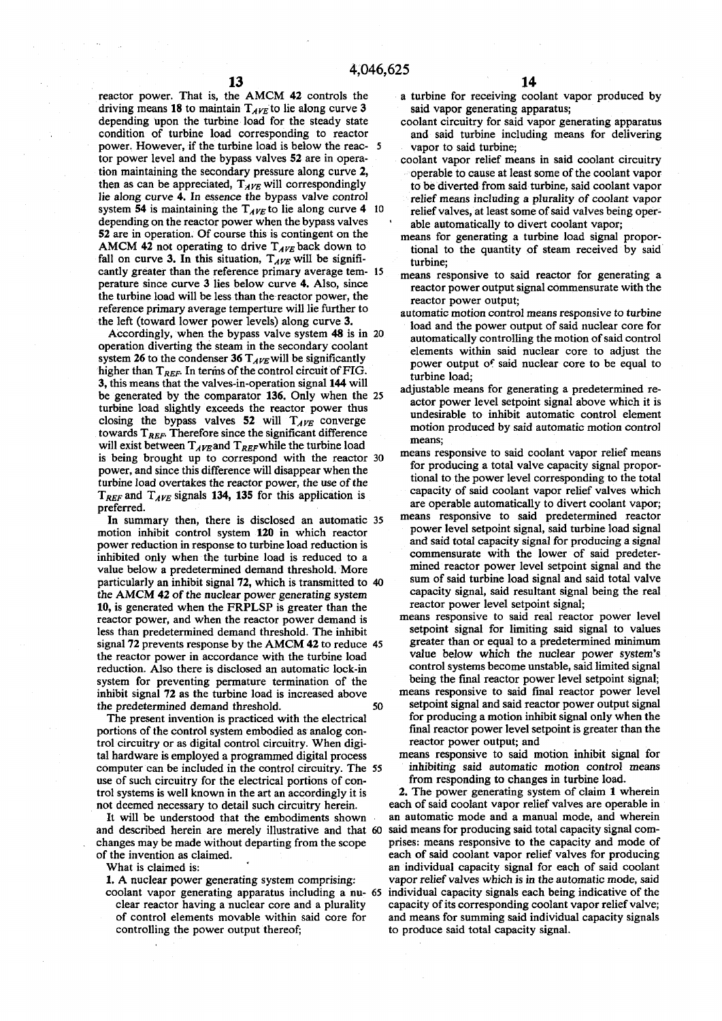**reactor power. That is, the AMCM 42 controls the**  driving means 18 to maintain  $T_{AVE}$  to lie along curve 3 **depending upon the turbine load for the steady state condition of turbine load corresponding to reactor power. However, if the turbine load is below the reac- 5 tor power level and the bypass valves 52 are in operation maintaining the secondary pressure along curve 2,**  then as can be appreciated,  $T_{AVE}$  will correspondingly **lie along curve 4. In essence the bypass valve control**  system 54 is maintaining the  $T_{AVE}$  to lie along curve 4 10 **depending on the reactor power when the bypass valves 52 are in operation. Of course this is contingent on the**  AMCM 42 not operating to drive  $T_{AVE}$  back down to fall on curve 3. In this situation,  $T_{AVE}$  will be signifi**cantly greater than the reference primary average tem- 15 perature since curve 3 lies below curve 4. Also, since the turbine load will be less than the reactor power, the reference primary average temperture will lie further to the left (toward lower power levels) along curve 3.** 

**Accordingly, when the bypass valve system 48 is in 20 operation diverting the steam in the secondary coolant**  system 26 to the condenser 36  $T_{AVE}$  will be significantly **higher than** *TREF.* **In terms of the control circuit of FIG. 3, this means that the valves-in-operation signal 144 will be generated by the comparator 136. Only when the 25 turbine load slightly exceeds the reactor power thus**  closing the bypass valves 52 will  $T_{AVE}$  converge **towards TREF. Therefore since the significant difference**  will exist between  $T_{AVE}$  and  $T_{REF}$  while the turbine load **is being brought up to correspond with the reactor 30 power, and since this difference will disappear when the turbine load overtakes the reactor power, the use of the**  *TREF* **and** *TAyE* **signals 134, 135 for this application is preferred.** 

**In summary then, there is disclosed an automatic 35 motion inhibit control system 120 in which reactor power reduction in response to turbine load reduction is inhibited only when the turbine load is reduced to a value below a predetermined demand threshold. More particularly an inhibit signal 72, which is transmitted to 40 the AMCM 42 of the nuclear power generating system 10, is generated when the FRPLSP is greater than the reactor power, and when the reactor power demand is less than predetermined demand threshold. The inhibit signal 72 prevents response by the AMCM 42 to reduce 45 the reactor power in accordance with the turbine load reduction. Also there is disclosed an automatic lock-in system for preventing permature termination of the inhibit signal 72 as the turbine load is increased above the predetermined demand threshold. 50** 

**The present invention is practiced with the electrical portions of the control system embodied as analog control circuitry or as digital control circuitry. When digital hardware is employed a programmed digital process computer can be included in the control circuitry. The 55 use of such circuitry for the electrical portions of control systems is well known in the art an accordingly it is not deemed necessary to detail such circuitry herein.** 

**It will be understood that the embodiments shown and described herein are merely illustrative and that 60 changes may be made without departing from the scope of the invention as claimed.** 

**What is claimed is:** 

**1. A nuclear power generating system comprising:** 

**coolant vapor generating apparatus including a nu- 65 clear reactor having a nuclear core and a plurality of control elements movable within said core for controlling the power output thereof;** 

- **a turbine for receiving coolant vapor produced by said vapor generating apparatus;**
- **coolant circuitry for said vapor generating apparatus and said turbine including means for delivering vapor to said turbine;**
- **coolant vapor relief means in said coolant circuitry operable to cause at least some of the coolant vapor to be diverted from said turbine, said coolant vapor relief means including a plurality of coolant vapor relief valves, at least some of said valves being oper- ' able automatically to divert coolant vapor;**
- **means for generating a turbine load signal proportional to the quantity of steam received by said turbine;**
- **means responsive to said reactor for generating a reactor power output signal commensurate with the reactor power output;**
- **automatic motion control means responsive to turbine load and the power output of said nuclear core for automatically controlling the motion of said control elements within said nuclear core to adjust the power output of said nuclear core to be equal to turbine load;**
- **adjustable means for generating a predetermined reactor power level setpoint signal above which it is undesirable to inhibit automatic control element motion produced by said automatic motion control means;**
- **means responsive to said coolant vapor relief means for producing a total valve capacity signal proportional to the power level corresponding to the total capacity of said coolant vapor relief valves which are operable automatically to divert coolant vapor;**
- **means responsive to said predetermined reactor power level setpoint signal, said turbine load signal and said total capacity signal for producing a signal commensurate with the lower of said predetermined reactor power level setpoint signal and the sum of said turbine load signal and said total valve capacity signal, said resultant signal being the real reactor power level setpoint signal;**
- **means responsive to said real reactor power level setpoint signal for limiting said signal to values greater than or equal to a predetermined minimum value below which the nuclear power system's control systems become unstable, said limited signal being the final reactor power level setpoint signal;**
- **means responsive to said final reactor power level setpoint signal and said reactor power output signal for producing a motion inhibit signal only when the final reactor power level setpoint is greater than the reactor power output; and**
- **means responsive to said motion inhibit signal for inhibiting said automatic motion control means from responding to changes in turbine load.**

**2. The power generating system of claim 1 wherein each of said coolant vapor relief valves are operable in an automatic mode and a manual mode, and wherein said means for producing said total capacity signal comprises: means responsive to the capacity and mode of each of said coolant vapor relief valves for producing an individual capacity signal for each of said coolant vapor relief valves which is in the automatic mode, said individual capacity signals each being indicative of the capacity of its corresponding coolant vapor relief valve; and means for summing said individual capacity signals to produce said total capacity signal.**